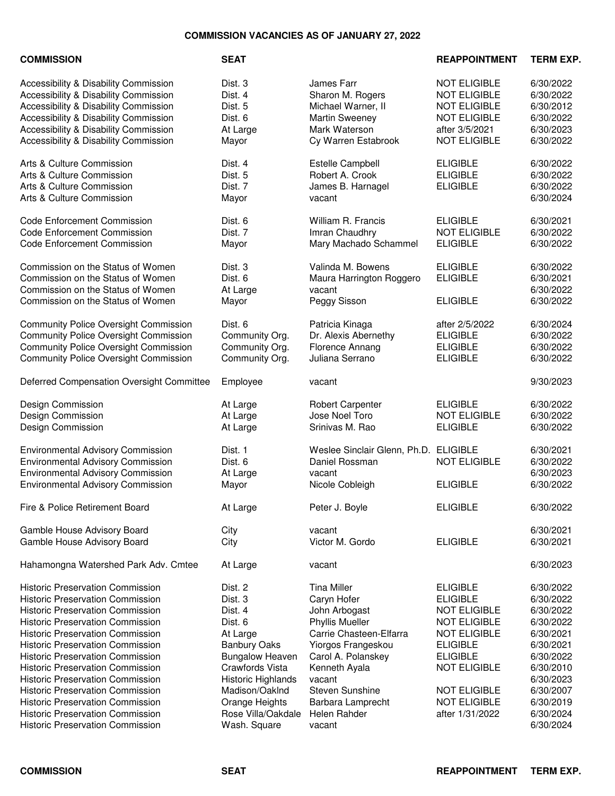## **COMMISSION VACANCIES AS OF JANUARY 27, 2022**

## **COMMISSION SEAT REAPPOINTMENT TERM EXP.**

Accessibility & Disability Commission **Dist. 3** James Farr **NOT ELIGIBLE** 6/30/2022<br>Accessibility & Disability Commission Dist. 4 Sharon M. Rogers NOT ELIGIBLE 6/30/2022 Accessibility & Disability Commission Dist. 4 Sharon M. Rogers NOT ELIGIBLE Accessibility & Disability Commission **Dist. 5** Michael Warner, II NOT ELIGIBLE 6/30/2012 Accessibility & Disability Commission **Dist. 6 Martin Sweeney** NOT ELIGIBLE 6/30/2022 Accessibility & Disability Commission At Large Mark Waterson after 3/5/2021 6/30/2023 Accessibility & Disability Commission Mayor Cy Warren Estabrook NOT ELIGIBLE 6/30/2022 Arts & Culture Commission **Dist. 4** Estelle Campbell **ELIGIBLE** 6/30/2022 Arts & Culture Commission **Carry Commission** Dist. 5 Robert A. Crook **ELIGIBLE** 6/30/2022 Arts & Culture Commission **Dist. 7** James B. Harnagel ELIGIBLE 6/30/2022 Arts & Culture Commission **Article Commission** Mayor vacant vacant vacant 6/30/2024 Code Enforcement Commission Dist. 6 William R. Francis ELIGIBLE 6/30/2021 Code Enforcement Commission Dist. 7 Imran Chaudhry NOT ELIGIBLE 6/30/2022 Code Enforcement Commission Mayor Mary Machado Schammel ELIGIBLE 6/30/2022 Commission on the Status of Women Dist. 3 Valinda M. Bowens ELIGIBLE 6/30/2022 Commission on the Status of Women Dist. 6 Maura Harrington Roggero ELIGIBLE 6/30/2021 Commission on the Status of Women  $\begin{array}{cccc}\n\text{A} & \text{Large} \\
\text{A} & \text{D} & \text{P} & \text{P} \\
\text{C} & \text{D} & \text{E}\n\end{array}$  ELIGIBLE  $\begin{array}{cccc}\n6/30/2022 \\
\text{A} & \text{D} & \text{D} & \text{E}\n\end{array}$ Commission on the Status of Women Mayor Peggy Sisson ELIGIBLE Community Police Oversight Commission Dist. 6 Patricia Kinaga after 2/5/2022 6/30/2024 Community Police Oversight Commission Community Org. Dr. Alexis Abernethy ELIGIBLE 6/30/2022 Community Police Oversight Commission Community Org. Florence Annang ELIGIBLE 6/30/2022 Community Police Oversight Commission Community Org. Juliana Serrano ELIGIBLE 6/30/2022 Deferred Compensation Oversight Committee Employee vacant vacant 9/30/2023 Design Commission 
2012/02/2022<br>
At Large 
Robert Carpenter

Resign Commission

6/30/2022 Design Commission At Large Jose Noel Toro NOT ELIGIBLE 6/30/2022 Design Commission and The Commission At Large Commission Strinivas M. Rao BLIGIBLE 6/30/2022 Environmental Advisory Commission Dist. 1 Weslee Sinclair Glenn, Ph.D. ELIGIBLE 6/30/2021 Environmental Advisory Commission Dist. 6 Daniel Rossman NOT ELIGIBLE 6/30/2022 Environmental Advisory Commission At Large vacant 6/30/2023 Environmental Advisory Commission Mayor Nicole Cobleigh ELIGIBLE 6/30/2022 Fire & Police Retirement Board **At Large At Large Constant At Large Accord Peter J. Boyle Peter J. Boyle** ELIGIBLE 6/30/2022 Gamble House Advisory Board City City vacant vacant Communications of  $6/30/2021$ Gamble House Advisory Board City Victor M. Gordo ELIGIBLE 6/30/2021 Hahamongna Watershed Park Adv. Cmtee At Large vacant vacant 6/30/2023 Historic Preservation Commission Dist. 2 Tina Miller ELIGIBLE 6/30/2022 Historic Preservation Commission 
Dist. 3 Caryn Hofer
Caryn Hofer

Caryn Hofer

Caryn Hofer

LIGIBLE

6/30/2022 Historic Preservation Commission **Dist. 4** John Arbogast NOT ELIGIBLE 6/30/2022 Historic Preservation Commission **Dist. 6 Computer Container Accord Phyllis Mueller** NOT ELIGIBLE 6/30/2022 Historic Preservation Commission **At Large Carrie Chasteen-Elfarra** NOT ELIGIBLE 6/30/2021 Historic Preservation Commission Banbury Oaks Yiorgos Frangeskou ELIGIBLE 6/30/2021 Historic Preservation Commission **Bungalow Heaven** Carol A. Polanskey **ELIGIBLE** 6/30/2022 Historic Preservation Commission Crawfords Vista Kenneth Ayala NOT ELIGIBLE 6/30/2010 Historic Preservation Commission and Historic Highlands vacant and the metal of the 6/30/2023 Historic Preservation Commission Madison/Oaklnd Steven Sunshine NOT ELIGIBLE 6/30/2007 Historic Preservation Commission Orange Heights Barbara Lamprecht NOT ELIGIBLE 6/30/2019 Historic Preservation Commission **Rose Villa/Oakdale Helen Rahder** after 1/31/2022 6/30/2024<br>Historic Preservation Commission **Mash.** Square vacant vacant both changers 6/30/2024

Historic Preservation Commission **Wash.** Square vacant vacant 6/30/2024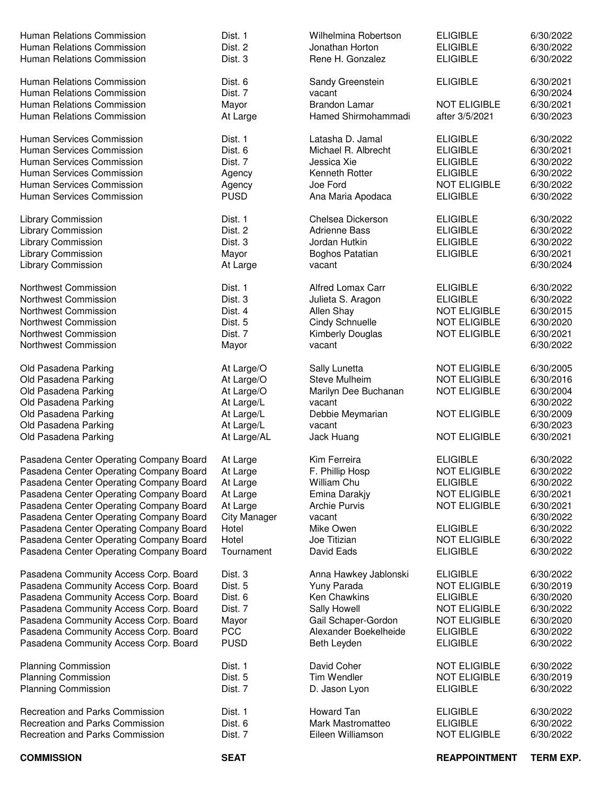| <b>COMMISSION</b>                                                              | <b>SEAT</b>         |                                      | <b>REAPPOINTMENT</b>                   | <b>TERM EXP.</b>       |
|--------------------------------------------------------------------------------|---------------------|--------------------------------------|----------------------------------------|------------------------|
| <b>Recreation and Parks Commission</b>                                         | Dist. 7             | Eileen Williamson                    | <b>NOT ELIGIBLE</b>                    | 6/30/2022              |
| Recreation and Parks Commission                                                | Dist. 6             | Mark Mastromatteo                    | <b>ELIGIBLE</b>                        | 6/30/2022              |
| <b>Recreation and Parks Commission</b>                                         | Dist. 1             | Howard Tan                           | <b>ELIGIBLE</b>                        | 6/30/2022              |
| <b>Planning Commission</b>                                                     | Dist. 7             | D. Jason Lyon                        | <b>ELIGIBLE</b>                        | 6/30/2022              |
| <b>Planning Commission</b>                                                     | Dist. 5             | <b>Tim Wendler</b>                   | <b>NOT ELIGIBLE</b>                    | 6/30/2019              |
| <b>Planning Commission</b>                                                     | Dist. 1             | David Coher                          | <b>NOT ELIGIBLE</b>                    | 6/30/2022              |
|                                                                                |                     |                                      |                                        |                        |
| Pasadena Community Access Corp. Board                                          | <b>PUSD</b>         | Beth Leyden                          | <b>ELIGIBLE</b>                        | 6/30/2022              |
| Pasadena Community Access Corp. Board                                          | <b>PCC</b>          | Alexander Boekelheide                | <b>ELIGIBLE</b>                        | 6/30/2022              |
| Pasadena Community Access Corp. Board                                          | Mayor               | Gail Schaper-Gordon                  | <b>NOT ELIGIBLE</b>                    | 6/30/2020              |
| Pasadena Community Access Corp. Board                                          | Dist. 7             | Sally Howell                         | <b>NOT ELIGIBLE</b>                    | 6/30/2022              |
| Pasadena Community Access Corp. Board                                          | Dist. 6             | <b>Ken Chawkins</b>                  | <b>ELIGIBLE</b>                        | 6/30/2020              |
| Pasadena Community Access Corp. Board<br>Pasadena Community Access Corp. Board | Dist. 3<br>Dist. 5  | Anna Hawkey Jablonski<br>Yuny Parada | <b>ELIGIBLE</b><br><b>NOT ELIGIBLE</b> | 6/30/2022<br>6/30/2019 |
|                                                                                |                     |                                      |                                        |                        |
| Pasadena Center Operating Company Board                                        | Tournament          | David Eads                           | <b>ELIGIBLE</b>                        | 6/30/2022              |
| Pasadena Center Operating Company Board                                        | Hotel               | Joe Titizian                         | <b>NOT ELIGIBLE</b>                    | 6/30/2022              |
| Pasadena Center Operating Company Board                                        | Hotel               | Mike Owen                            | <b>ELIGIBLE</b>                        | 6/30/2022              |
| Pasadena Center Operating Company Board                                        | <b>City Manager</b> | vacant                               |                                        | 6/30/2022              |
| Pasadena Center Operating Company Board                                        | At Large            | <b>Archie Purvis</b>                 | <b>NOT ELIGIBLE</b>                    | 6/30/2021              |
| Pasadena Center Operating Company Board                                        | At Large            | Emina Darakjy                        | <b>NOT ELIGIBLE</b>                    | 6/30/2021              |
| Pasadena Center Operating Company Board                                        | At Large            | William Chu                          | <b>ELIGIBLE</b>                        | 6/30/2022              |
| Pasadena Center Operating Company Board                                        | At Large            | F. Phillip Hosp                      | <b>NOT ELIGIBLE</b>                    | 6/30/2022              |
| Pasadena Center Operating Company Board                                        | At Large            | Kim Ferreira                         | <b>ELIGIBLE</b>                        | 6/30/2022              |
|                                                                                |                     |                                      |                                        |                        |
| Old Pasadena Parking                                                           | At Large/AL         | Jack Huang                           | <b>NOT ELIGIBLE</b>                    | 6/30/2021              |
| Old Pasadena Parking                                                           | At Large/L          | vacant                               |                                        | 6/30/2023              |
| Old Pasadena Parking                                                           | At Large/L          | Debbie Meymarian                     | <b>NOT ELIGIBLE</b>                    | 6/30/2009              |
| Old Pasadena Parking                                                           | At Large/L          | vacant                               |                                        | 6/30/2022              |
| Old Pasadena Parking                                                           | At Large/O          | Marilyn Dee Buchanan                 | <b>NOT ELIGIBLE</b>                    | 6/30/2004              |
| Old Pasadena Parking                                                           | At Large/O          | <b>Steve Mulheim</b>                 | <b>NOT ELIGIBLE</b>                    | 6/30/2016              |
| Old Pasadena Parking                                                           | At Large/O          | Sally Lunetta                        | <b>NOT ELIGIBLE</b>                    | 6/30/2005              |
|                                                                                | Mayor               | vacant                               |                                        | 6/30/2022              |
| Northwest Commission                                                           |                     | Kimberly Douglas                     |                                        |                        |
| Northwest Commission                                                           | Dist. 7             |                                      | <b>NOT ELIGIBLE</b>                    | 6/30/2021              |
| Northwest Commission                                                           | Dist. 5             | Cindy Schnuelle                      | <b>NOT ELIGIBLE</b>                    | 6/30/2020              |
| Northwest Commission                                                           | Dist. 4             | Allen Shay                           | <b>NOT ELIGIBLE</b>                    | 6/30/2015              |
| Northwest Commission                                                           | Dist. 3             | Julieta S. Aragon                    | <b>ELIGIBLE</b>                        | 6/30/2022              |
| Northwest Commission                                                           | Dist. 1             | Alfred Lomax Carr                    | <b>ELIGIBLE</b>                        | 6/30/2022              |
| Library Commission                                                             | At Large            | vacant                               |                                        | 6/30/2024              |
| Library Commission                                                             | Mayor               | Boghos Patatian                      | <b>ELIGIBLE</b>                        | 6/30/2021              |
| Library Commission                                                             | Dist. 3             | Jordan Hutkin                        | <b>ELIGIBLE</b>                        | 6/30/2022              |
| <b>Library Commission</b>                                                      | Dist. 2             | <b>Adrienne Bass</b>                 | <b>ELIGIBLE</b>                        | 6/30/2022              |
| <b>Library Commission</b>                                                      | Dist. 1             | Chelsea Dickerson                    | <b>ELIGIBLE</b>                        | 6/30/2022              |
|                                                                                |                     |                                      |                                        |                        |
| Human Services Commission                                                      | <b>PUSD</b>         | Ana Maria Apodaca                    | <b>ELIGIBLE</b>                        | 6/30/2022              |
| Human Services Commission                                                      | Agency              | Joe Ford                             | <b>NOT ELIGIBLE</b>                    | 6/30/2022              |
| Human Services Commission                                                      | Agency              | Kenneth Rotter                       | <b>ELIGIBLE</b>                        | 6/30/2022              |
| Human Services Commission                                                      | Dist. 7             | Jessica Xie                          | <b>ELIGIBLE</b>                        | 6/30/2022              |
| Human Services Commission                                                      | Dist. 6             | Michael R. Albrecht                  | <b>ELIGIBLE</b>                        | 6/30/2021              |
| Human Services Commission                                                      | Dist. 1             | Latasha D. Jamal                     | <b>ELIGIBLE</b>                        | 6/30/2022              |
|                                                                                |                     |                                      |                                        |                        |
| Human Relations Commission                                                     | At Large            | Hamed Shirmohammadi                  | after 3/5/2021                         | 6/30/2023              |
| Human Relations Commission                                                     | Mayor               | <b>Brandon Lamar</b>                 | <b>NOT ELIGIBLE</b>                    | 6/30/2021              |
| Human Relations Commission                                                     | Dist. 7             | vacant                               |                                        | 6/30/2024              |
| Human Relations Commission                                                     | Dist. 6             | Sandy Greenstein                     | <b>ELIGIBLE</b>                        | 6/30/2021              |
|                                                                                |                     |                                      |                                        |                        |
| Human Relations Commission                                                     | Dist. 3             | Rene H. Gonzalez                     | <b>ELIGIBLE</b>                        | 6/30/2022              |
| <b>Human Relations Commission</b>                                              | Dist. 2             | Jonathan Horton                      | <b>ELIGIBLE</b>                        | 6/30/2022              |
| Human Relations Commission                                                     | Dist. 1             | Wilhelmina Robertson                 | <b>ELIGIBLE</b>                        | 6/30/2022              |